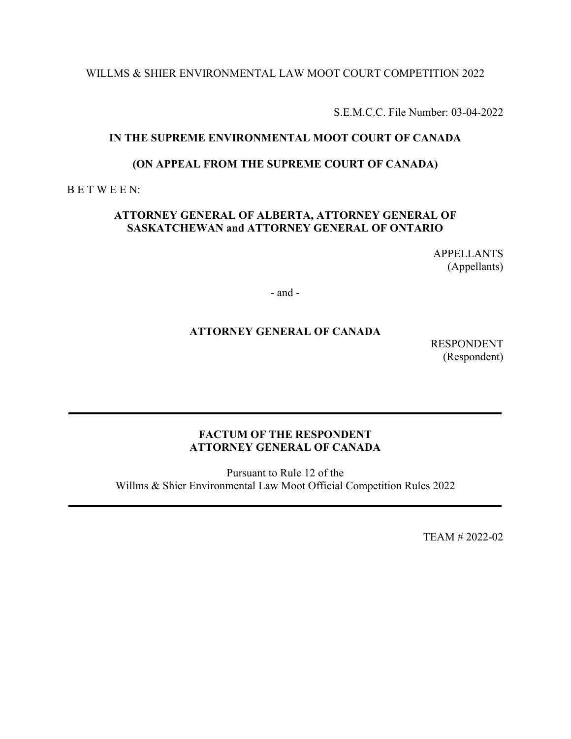## WILLMS & SHIER ENVIRONMENTAL LAW MOOT COURT COMPETITION 2022

S.E.M.C.C. File Number: 03-04-2022

## **IN THE SUPREME ENVIRONMENTAL MOOT COURT OF CANADA**

### **(ON APPEAL FROM THE SUPREME COURT OF CANADA)**

B E T W E E N:

## **ATTORNEY GENERAL OF ALBERTA, ATTORNEY GENERAL OF SASKATCHEWAN and ATTORNEY GENERAL OF ONTARIO**

APPELLANTS (Appellants)

- and -

## **ATTORNEY GENERAL OF CANADA**

RESPONDENT (Respondent)

## **FACTUM OF THE RESPONDENT ATTORNEY GENERAL OF CANADA**

Pursuant to Rule 12 of the Willms & Shier Environmental Law Moot Official Competition Rules 2022

TEAM # 2022-02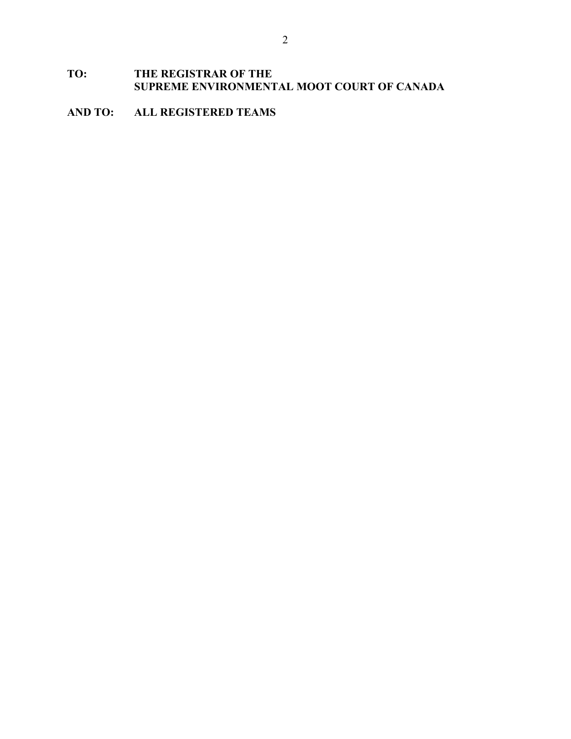## **TO: THE REGISTRAR OF THE SUPREME ENVIRONMENTAL MOOT COURT OF CANADA**

**AND TO: ALL REGISTERED TEAMS**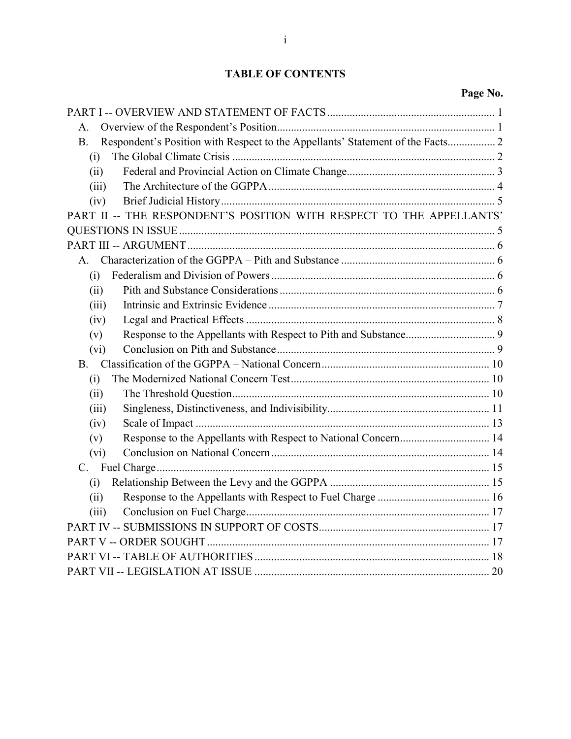# **TABLE OF CONTENTS**

| A.                                                                                        |
|-------------------------------------------------------------------------------------------|
| Respondent's Position with Respect to the Appellants' Statement of the Facts<br><b>B.</b> |
| (i)                                                                                       |
| (ii)                                                                                      |
| (iii)                                                                                     |
| (iv)                                                                                      |
| PART II -- THE RESPONDENT'S POSITION WITH RESPECT TO THE APPELLANTS'                      |
|                                                                                           |
|                                                                                           |
|                                                                                           |
| (i)                                                                                       |
| (ii)                                                                                      |
| (iii)                                                                                     |
| (iv)                                                                                      |
| (v)                                                                                       |
| (vi)                                                                                      |
| $\mathbf{B}$ .                                                                            |
| (i)                                                                                       |
| (ii)                                                                                      |
| (iii)                                                                                     |
| (iv)                                                                                      |
| (v)                                                                                       |
| (vi)                                                                                      |
|                                                                                           |
| (i)                                                                                       |
| (ii)                                                                                      |
| (iii)                                                                                     |
|                                                                                           |
|                                                                                           |
|                                                                                           |
|                                                                                           |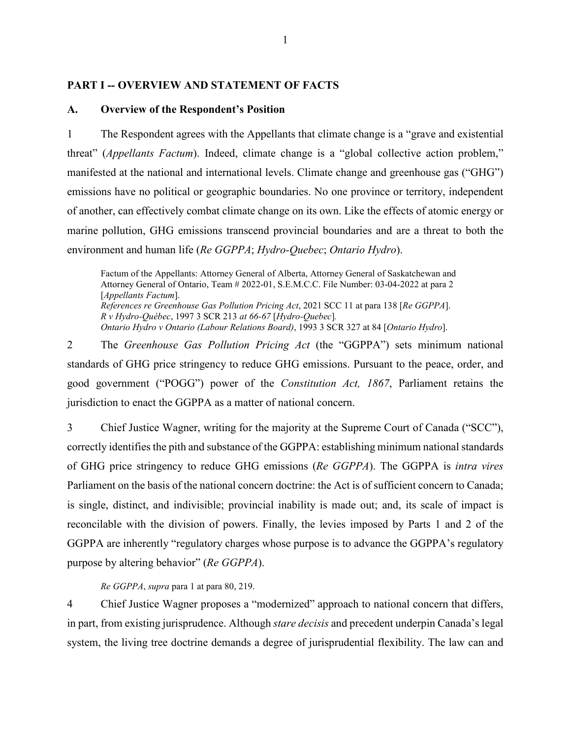#### **PART I -- OVERVIEW AND STATEMENT OF FACTS**

#### **A. Overview of the Respondent's Position**

<span id="page-3-0"></span>1 The Respondent agrees with the Appellants that climate change is a "grave and existential threat" (*Appellants Factum*). Indeed, climate change is a "global collective action problem," manifested at the national and international levels. Climate change and greenhouse gas ("GHG") emissions have no political or geographic boundaries. No one province or territory, independent of another, can effectively combat climate change on its own. Like the effects of atomic energy or marine pollution, GHG emissions transcend provincial boundaries and are a threat to both the environment and human life (*Re GGPPA*; *Hydro-Quebec*; *Ontario Hydro*).

Factum of the Appellants: Attorney General of Alberta, Attorney General of Saskatchewan and Attorney General of Ontario, Team # 2022-01, S.E.M.C.C. File Number: 03-04-2022 at para 2 [*Appellants Factum*]. *References re Greenhouse Gas Pollution Pricing Act*, 2021 SCC 11 at para 138 [*Re GGPPA*]. *R v Hydro-Québec*, 1997 3 SCR 213 *at 66-67* [*Hydro-Quebec*]*. Ontario Hydro v Ontario (Labour Relations Board)*, 1993 3 SCR 327 at 84 [*Ontario Hydro*].

2 The *Greenhouse Gas Pollution Pricing Act* (the "GGPPA") sets minimum national standards of GHG price stringency to reduce GHG emissions. Pursuant to the peace, order, and good government ("POGG") power of the *Constitution Act, 1867*, Parliament retains the jurisdiction to enact the GGPPA as a matter of national concern.

3 Chief Justice Wagner, writing for the majority at the Supreme Court of Canada ("SCC"), correctly identifies the pith and substance of the GGPPA: establishing minimum national standards of GHG price stringency to reduce GHG emissions (*Re GGPPA*). The GGPPA is *intra vires* Parliament on the basis of the national concern doctrine: the Act is of sufficient concern to Canada; is single, distinct, and indivisible; provincial inability is made out; and, its scale of impact is reconcilable with the division of powers. Finally, the levies imposed by Parts 1 and 2 of the GGPPA are inherently "regulatory charges whose purpose is to advance the GGPPA's regulatory purpose by altering behavior" (*Re GGPPA*).

*Re GGPPA*, *supra* para [1](#page-3-0) at para 80, 219.

4 Chief Justice Wagner proposes a "modernized" approach to national concern that differs, in part, from existing jurisprudence. Although *stare decisis* and precedent underpin Canada's legal system, the living tree doctrine demands a degree of jurisprudential flexibility. The law can and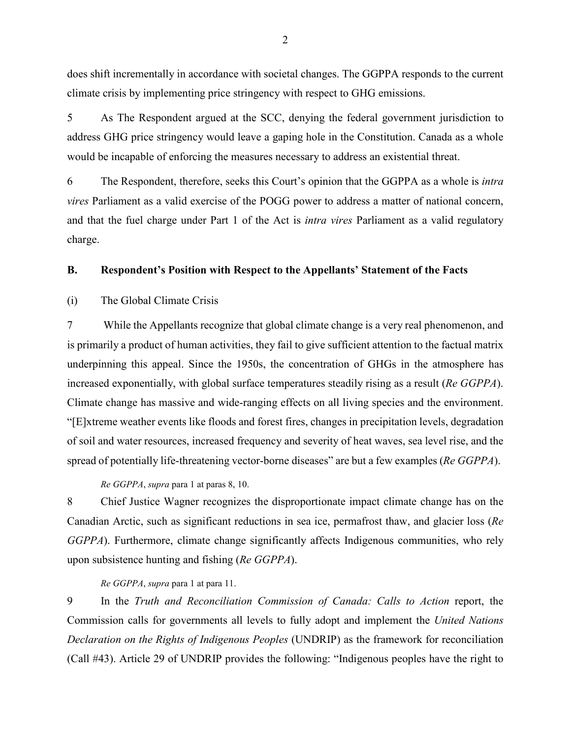does shift incrementally in accordance with societal changes. The GGPPA responds to the current climate crisis by implementing price stringency with respect to GHG emissions.

5 As The Respondent argued at the SCC, denying the federal government jurisdiction to address GHG price stringency would leave a gaping hole in the Constitution. Canada as a whole would be incapable of enforcing the measures necessary to address an existential threat.

6 The Respondent, therefore, seeks this Court's opinion that the GGPPA as a whole is *intra vires* Parliament as a valid exercise of the POGG power to address a matter of national concern, and that the fuel charge under Part 1 of the Act is *intra vires* Parliament as a valid regulatory charge.

#### **B. Respondent's Position with Respect to the Appellants' Statement of the Facts**

#### (i) The Global Climate Crisis

7 While the Appellants recognize that global climate change is a very real phenomenon, and is primarily a product of human activities, they fail to give sufficient attention to the factual matrix underpinning this appeal. Since the 1950s, the concentration of GHGs in the atmosphere has increased exponentially, with global surface temperatures steadily rising as a result (*Re GGPPA*). Climate change has massive and wide-ranging effects on all living species and the environment. "[E]xtreme weather events like floods and forest fires, changes in precipitation levels, degradation of soil and water resources, increased frequency and severity of heat waves, sea level rise, and the spread of potentially life-threatening vector-borne diseases" are but a few examples (*Re GGPPA*).

### *Re GGPPA*, *supra* para [1](#page-3-0) at paras 8, 10.

8 Chief Justice Wagner recognizes the disproportionate impact climate change has on the Canadian Arctic, such as significant reductions in sea ice, permafrost thaw, and glacier loss (*Re GGPPA*). Furthermore, climate change significantly affects Indigenous communities, who rely upon subsistence hunting and fishing (*Re GGPPA*).

#### *Re GGPPA*, *supra* para [1](#page-3-0) at para 11.

9 In the *Truth and Reconciliation Commission of Canada: Calls to Action* report, the Commission calls for governments all levels to fully adopt and implement the *United Nations Declaration on the Rights of Indigenous Peoples* (UNDRIP) as the framework for reconciliation (Call #43). Article 29 of UNDRIP provides the following: "Indigenous peoples have the right to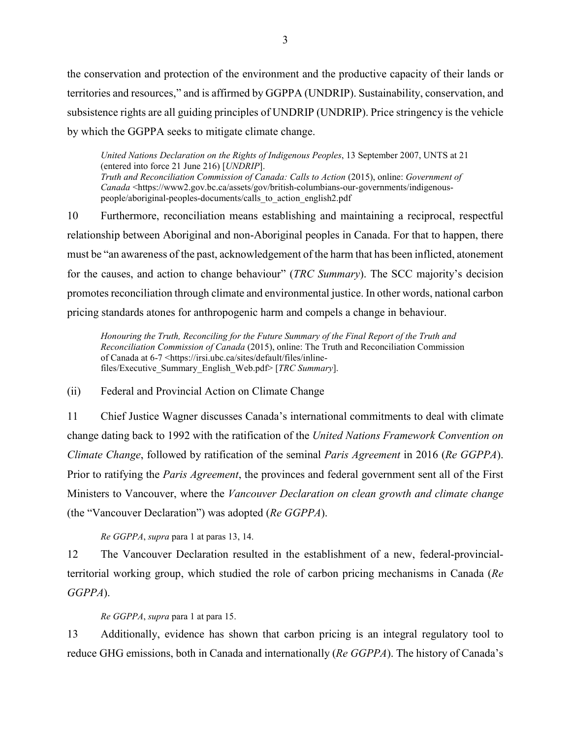the conservation and protection of the environment and the productive capacity of their lands or territories and resources," and is affirmed by GGPPA (UNDRIP). Sustainability, conservation, and subsistence rights are all guiding principles of UNDRIP (UNDRIP). Price stringency is the vehicle by which the GGPPA seeks to mitigate climate change.

*United Nations Declaration on the Rights of Indigenous Peoples*, 13 September 2007, UNTS at 21 (entered into force 21 June 216) [*UNDRIP*]. *Truth and Reconciliation Commission of Canada: Calls to Action* (2015), online: *Government of Canada* <https://www2.gov.bc.ca/assets/gov/british-columbians-our-governments/indigenouspeople/aboriginal-peoples-documents/calls\_to\_action\_english2.pdf

10 Furthermore, reconciliation means establishing and maintaining a reciprocal, respectful relationship between Aboriginal and non-Aboriginal peoples in Canada. For that to happen, there must be "an awareness of the past, acknowledgement of the harm that has been inflicted, atonement for the causes, and action to change behaviour" (*TRC Summary*). The SCC majority's decision promotes reconciliation through climate and environmental justice. In other words, national carbon pricing standards atones for anthropogenic harm and compels a change in behaviour.

*Honouring the Truth, Reconciling for the Future Summary of the Final Report of the Truth and Reconciliation Commission of Canada* (2015), online: The Truth and Reconciliation Commission of Canada at 6-7 <https://irsi.ubc.ca/sites/default/files/inlinefiles/Executive\_Summary\_English\_Web.pdf> [*TRC Summary*].

(ii) Federal and Provincial Action on Climate Change

11 Chief Justice Wagner discusses Canada's international commitments to deal with climate change dating back to 1992 with the ratification of the *United Nations Framework Convention on Climate Change*, followed by ratification of the seminal *Paris Agreement* in 2016 (*Re GGPPA*). Prior to ratifying the *Paris Agreement*, the provinces and federal government sent all of the First Ministers to Vancouver, where the *Vancouver Declaration on clean growth and climate change* (the "Vancouver Declaration") was adopted (*Re GGPPA*).

*Re GGPPA*, *supra* para [1](#page-3-0) at paras 13, 14.

12 The Vancouver Declaration resulted in the establishment of a new, federal-provincialterritorial working group, which studied the role of carbon pricing mechanisms in Canada (*Re GGPPA*).

*Re GGPPA*, *supra* para [1](#page-3-0) at para 15.

13 Additionally, evidence has shown that carbon pricing is an integral regulatory tool to reduce GHG emissions, both in Canada and internationally (*Re GGPPA*). The history of Canada's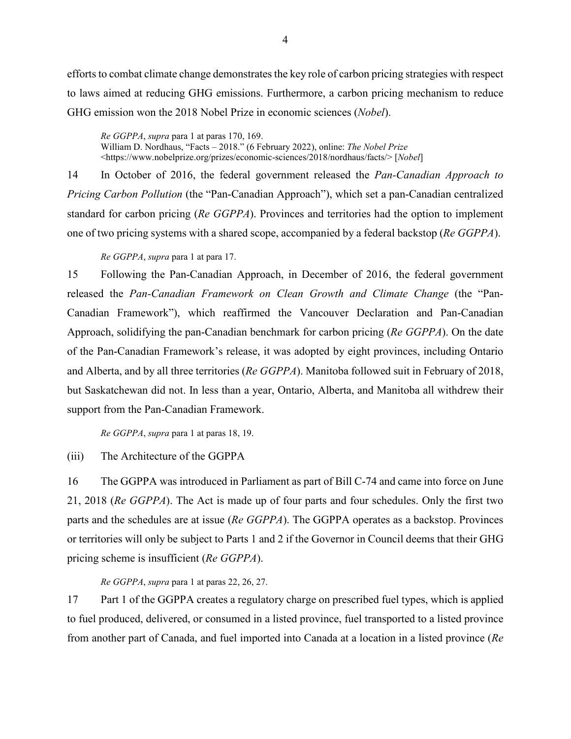efforts to combat climate change demonstrates the key role of carbon pricing strategies with respect to laws aimed at reducing GHG emissions. Furthermore, a carbon pricing mechanism to reduce GHG emission won the 2018 Nobel Prize in economic sciences (*Nobel*).

*Re GGPPA*, *supra* para [1](#page-3-0) at paras 170, 169. William D. Nordhaus, "Facts – 2018." (6 February 2022), online: *The Nobel Prize* <https://www.nobelprize.org/prizes/economic-sciences/2018/nordhaus/facts/> [*Nobel*]

14 In October of 2016, the federal government released the *Pan-Canadian Approach to Pricing Carbon Pollution* (the "Pan-Canadian Approach"), which set a pan-Canadian centralized standard for carbon pricing (*Re GGPPA*). Provinces and territories had the option to implement one of two pricing systems with a shared scope, accompanied by a federal backstop (*Re GGPPA*).

*Re GGPPA*, *supra* para [1](#page-3-0) at para 17.

15 Following the Pan-Canadian Approach, in December of 2016, the federal government released the *Pan-Canadian Framework on Clean Growth and Climate Change* (the "Pan-Canadian Framework"), which reaffirmed the Vancouver Declaration and Pan-Canadian Approach, solidifying the pan-Canadian benchmark for carbon pricing (*Re GGPPA*). On the date of the Pan-Canadian Framework's release, it was adopted by eight provinces, including Ontario and Alberta, and by all three territories (*Re GGPPA*). Manitoba followed suit in February of 2018, but Saskatchewan did not. In less than a year, Ontario, Alberta, and Manitoba all withdrew their support from the Pan-Canadian Framework.

*Re GGPPA*, *supra* para [1](#page-3-0) at paras 18, 19.

(iii) The Architecture of the GGPPA

16 The GGPPA was introduced in Parliament as part of Bill C-74 and came into force on June 21, 2018 (*Re GGPPA*). The Act is made up of four parts and four schedules. Only the first two parts and the schedules are at issue (*Re GGPPA*). The GGPPA operates as a backstop. Provinces or territories will only be subject to Parts 1 and 2 if the Governor in Council deems that their GHG pricing scheme is insufficient (*Re GGPPA*).

*Re GGPPA*, *supra* para [1](#page-3-0) at paras 22, 26, 27.

17 Part 1 of the GGPPA creates a regulatory charge on prescribed fuel types, which is applied to fuel produced, delivered, or consumed in a listed province, fuel transported to a listed province from another part of Canada, and fuel imported into Canada at a location in a listed province (*Re*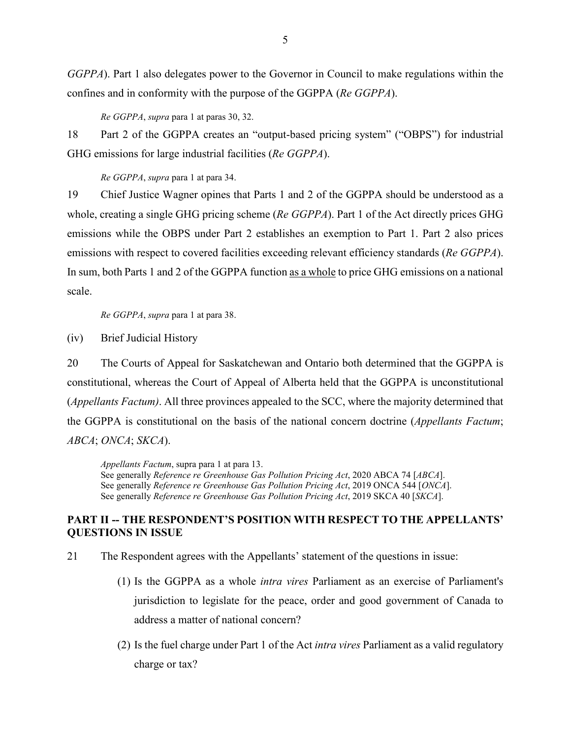*GGPPA*). Part 1 also delegates power to the Governor in Council to make regulations within the confines and in conformity with the purpose of the GGPPA (*Re GGPPA*).

*Re GGPPA*, *supra* para [1](#page-3-0) at paras 30, 32.

18 Part 2 of the GGPPA creates an "output-based pricing system" ("OBPS") for industrial GHG emissions for large industrial facilities (*Re GGPPA*).

*Re GGPPA*, *supra* para [1](#page-3-0) at para 34.

19 Chief Justice Wagner opines that Parts 1 and 2 of the GGPPA should be understood as a whole, creating a single GHG pricing scheme (*Re GGPPA*). Part 1 of the Act directly prices GHG emissions while the OBPS under Part 2 establishes an exemption to Part 1. Part 2 also prices emissions with respect to covered facilities exceeding relevant efficiency standards (*Re GGPPA*). In sum, both Parts 1 and 2 of the GGPPA function as a whole to price GHG emissions on a national scale.

*Re GGPPA*, *supra* para [1](#page-3-0) at para 38.

(iv) Brief Judicial History

<span id="page-7-0"></span>20 The Courts of Appeal for Saskatchewan and Ontario both determined that the GGPPA is constitutional, whereas the Court of Appeal of Alberta held that the GGPPA is unconstitutional (*Appellants Factum)*. All three provinces appealed to the SCC, where the majority determined that the GGPPA is constitutional on the basis of the national concern doctrine (*Appellants Factum*; *ABCA*; *ONCA*; *SKCA*).

*Appellants Factum*, supra par[a 1](#page-3-0) at para 13. See generally *Reference re Greenhouse Gas Pollution Pricing Act*, 2020 ABCA 74 [*ABCA*]. See generally *Reference re Greenhouse Gas Pollution Pricing Act*, 2019 ONCA 544 [*ONCA*]. See generally *Reference re Greenhouse Gas Pollution Pricing Act*, 2019 SKCA 40 [*SKCA*].

### **PART II -- THE RESPONDENT'S POSITION WITH RESPECT TO THE APPELLANTS' QUESTIONS IN ISSUE**

- 21 The Respondent agrees with the Appellants' statement of the questions in issue:
	- (1) Is the GGPPA as a whole *intra vires* Parliament as an exercise of Parliament's jurisdiction to legislate for the peace, order and good government of Canada to address a matter of national concern?
	- (2) Is the fuel charge under Part 1 of the Act *intra vires* Parliament as a valid regulatory charge or tax?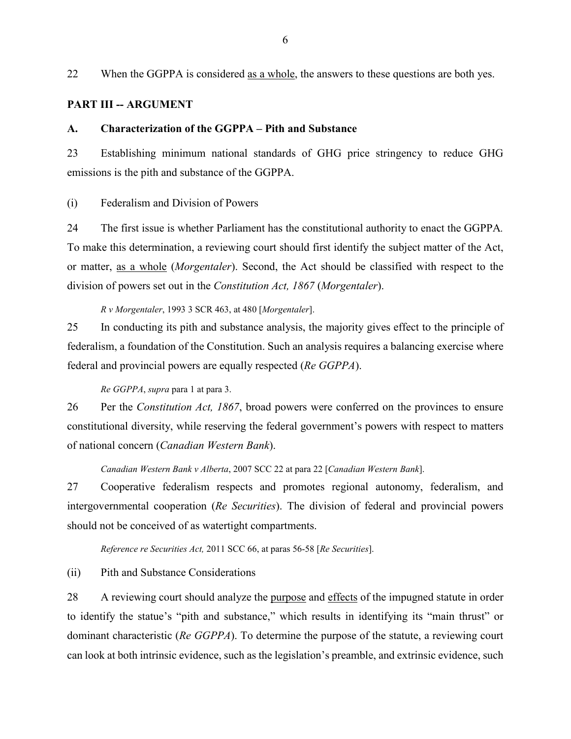22 When the GGPPA is considered as a whole, the answers to these questions are both yes.

## **PART III -- ARGUMENT**

#### **A. Characterization of the GGPPA – Pith and Substance**

23 Establishing minimum national standards of GHG price stringency to reduce GHG emissions is the pith and substance of the GGPPA.

(i) Federalism and Division of Powers

<span id="page-8-0"></span>24 The first issue is whether Parliament has the constitutional authority to enact the GGPPA*.*  To make this determination, a reviewing court should first identify the subject matter of the Act, or matter, as a whole (*Morgentaler*). Second, the Act should be classified with respect to the division of powers set out in the *Constitution Act, 1867* (*Morgentaler*).

*R v Morgentaler*, 1993 3 SCR 463, at 480 [*Morgentaler*].

25 In conducting its pith and substance analysis, the majority gives effect to the principle of federalism, a foundation of the Constitution. Such an analysis requires a balancing exercise where federal and provincial powers are equally respected (*Re GGPPA*).

*Re GGPPA*, *supra* para [1](#page-3-0) at para 3.

26 Per the *Constitution Act, 1867*, broad powers were conferred on the provinces to ensure constitutional diversity, while reserving the federal government's powers with respect to matters of national concern (*Canadian Western Bank*).

*Canadian Western Bank v Alberta*, 2007 SCC 22 at para 22 [*Canadian Western Bank*].

<span id="page-8-1"></span>27 Cooperative federalism respects and promotes regional autonomy, federalism, and intergovernmental cooperation (*Re Securities*). The division of federal and provincial powers should not be conceived of as watertight compartments.

*Reference re Securities Act,* 2011 SCC 66, at paras 56-58 [*Re Securities*].

(ii) Pith and Substance Considerations

28 A reviewing court should analyze the purpose and effects of the impugned statute in order to identify the statue's "pith and substance," which results in identifying its "main thrust" or dominant characteristic (*Re GGPPA*). To determine the purpose of the statute, a reviewing court can look at both intrinsic evidence, such as the legislation's preamble, and extrinsic evidence, such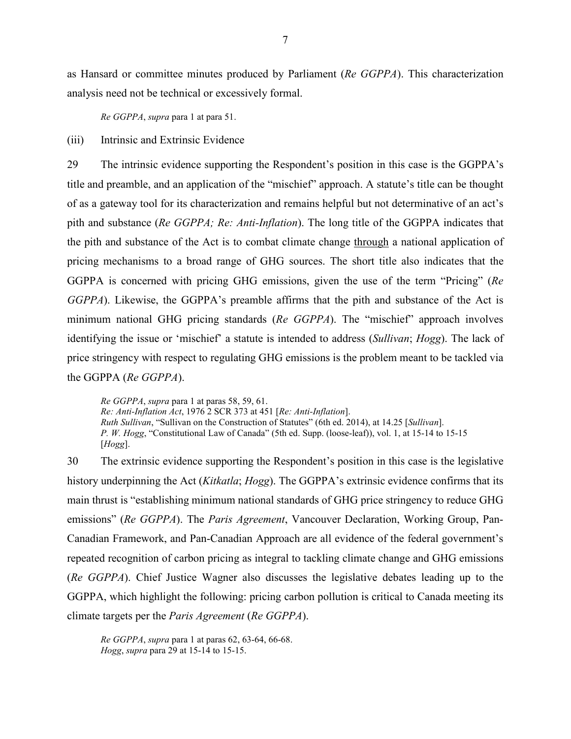as Hansard or committee minutes produced by Parliament (*Re GGPPA*). This characterization analysis need not be technical or excessively formal.

*Re GGPPA*, *supra* para [1](#page-3-0) at para 51.

(iii) Intrinsic and Extrinsic Evidence

<span id="page-9-0"></span>29 The intrinsic evidence supporting the Respondent's position in this case is the GGPPA's title and preamble, and an application of the "mischief" approach. A statute's title can be thought of as a gateway tool for its characterization and remains helpful but not determinative of an act's pith and substance (*Re GGPPA; Re: Anti-Inflation*). The long title of the GGPPA indicates that the pith and substance of the Act is to combat climate change through a national application of pricing mechanisms to a broad range of GHG sources. The short title also indicates that the GGPPA is concerned with pricing GHG emissions, given the use of the term "Pricing" (*Re GGPPA*). Likewise, the GGPPA's preamble affirms that the pith and substance of the Act is minimum national GHG pricing standards (*Re GGPPA*). The "mischief" approach involves identifying the issue or 'mischief' a statute is intended to address (*Sullivan*; *Hogg*). The lack of price stringency with respect to regulating GHG emissions is the problem meant to be tackled via the GGPPA (*Re GGPPA*).

*Re GGPPA*, *supra* para [1](#page-3-0) at paras 58, 59, 61. *Re: Anti-Inflation Act*, 1976 2 SCR 373 at 451 [*Re: Anti-Inflation*]. *Ruth Sullivan*, "Sullivan on the Construction of Statutes" (6th ed. 2014), at 14.25 [*Sullivan*]. *P. W. Hogg*, "Constitutional Law of Canada" (5th ed. Supp. (loose-leaf)), vol. 1, at 15-14 to 15-15 [*Hogg*].

30 The extrinsic evidence supporting the Respondent's position in this case is the legislative history underpinning the Act (*Kitkatla*; *Hogg*). The GGPPA's extrinsic evidence confirms that its main thrust is "establishing minimum national standards of GHG price stringency to reduce GHG emissions" (*Re GGPPA*). The *Paris Agreement*, Vancouver Declaration, Working Group, Pan-Canadian Framework, and Pan-Canadian Approach are all evidence of the federal government's repeated recognition of carbon pricing as integral to tackling climate change and GHG emissions (*Re GGPPA*). Chief Justice Wagner also discusses the legislative debates leading up to the GGPPA, which highlight the following: pricing carbon pollution is critical to Canada meeting its climate targets per the *Paris Agreement* (*Re GGPPA*).

*Re GGPPA*, *supra* para [1](#page-3-0) at paras 62, 63-64, 66-68. *Hogg*, *supra* para [29](#page-9-0) at 15-14 to 15-15.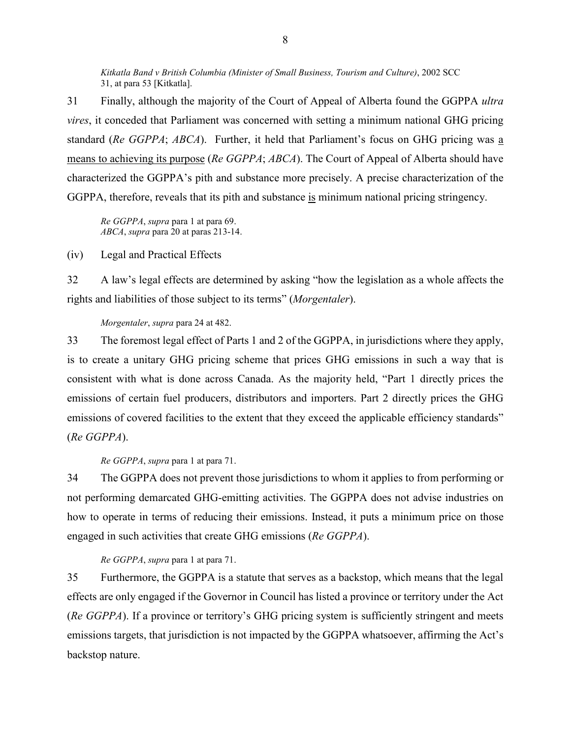*Kitkatla Band v British Columbia (Minister of Small Business, Tourism and Culture)*, 2002 SCC 31, at para 53 [Kitkatla].

31 Finally, although the majority of the Court of Appeal of Alberta found the GGPPA *ultra vires*, it conceded that Parliament was concerned with setting a minimum national GHG pricing standard (*Re GGPPA*; *ABCA*). Further, it held that Parliament's focus on GHG pricing was a means to achieving its purpose (*Re GGPPA*; *ABCA*). The Court of Appeal of Alberta should have characterized the GGPPA's pith and substance more precisely. A precise characterization of the GGPPA, therefore, reveals that its pith and substance is minimum national pricing stringency.

*Re GGPPA*, *supra* para [1](#page-3-0) at para 69. *ABCA*, *supra* para [20](#page-7-0) at paras 213-14.

(iv) Legal and Practical Effects

32 A law's legal effects are determined by asking "how the legislation as a whole affects the rights and liabilities of those subject to its terms" (*Morgentaler*).

#### *Morgentaler*, *supra* par[a 24](#page-8-0) at 482.

33 The foremost legal effect of Parts 1 and 2 of the GGPPA, in jurisdictions where they apply, is to create a unitary GHG pricing scheme that prices GHG emissions in such a way that is consistent with what is done across Canada. As the majority held, "Part 1 directly prices the emissions of certain fuel producers, distributors and importers. Part 2 directly prices the GHG emissions of covered facilities to the extent that they exceed the applicable efficiency standards" (*Re GGPPA*).

*Re GGPPA*, *supra* para [1](#page-3-0) at para 71.

34 The GGPPA does not prevent those jurisdictions to whom it applies to from performing or not performing demarcated GHG-emitting activities. The GGPPA does not advise industries on how to operate in terms of reducing their emissions. Instead, it puts a minimum price on those engaged in such activities that create GHG emissions (*Re GGPPA*).

#### *Re GGPPA*, *supra* para [1](#page-3-0) at para 71.

35 Furthermore, the GGPPA is a statute that serves as a backstop, which means that the legal effects are only engaged if the Governor in Council has listed a province or territory under the Act (*Re GGPPA*). If a province or territory's GHG pricing system is sufficiently stringent and meets emissions targets, that jurisdiction is not impacted by the GGPPA whatsoever, affirming the Act's backstop nature.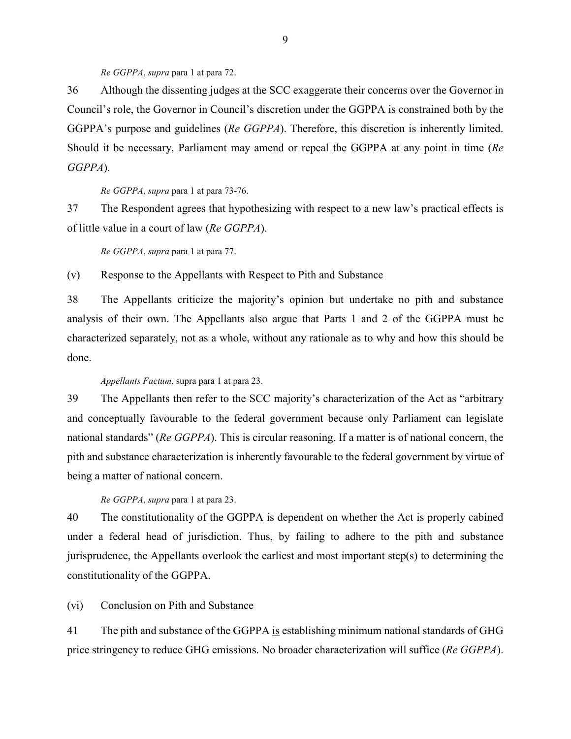*Re GGPPA*, *supra* para [1](#page-3-0) at para 72.

36 Although the dissenting judges at the SCC exaggerate their concerns over the Governor in Council's role, the Governor in Council's discretion under the GGPPA is constrained both by the GGPPA's purpose and guidelines (*Re GGPPA*). Therefore, this discretion is inherently limited. Should it be necessary, Parliament may amend or repeal the GGPPA at any point in time (*Re GGPPA*).

*Re GGPPA*, *supra* para [1](#page-3-0) at para 73-76.

37 The Respondent agrees that hypothesizing with respect to a new law's practical effects is of little value in a court of law (*Re GGPPA*).

*Re GGPPA*, *supra* para [1](#page-3-0) at para 77.

(v) Response to the Appellants with Respect to Pith and Substance

38 The Appellants criticize the majority's opinion but undertake no pith and substance analysis of their own. The Appellants also argue that Parts 1 and 2 of the GGPPA must be characterized separately, not as a whole, without any rationale as to why and how this should be done.

*Appellants Factum*, supra par[a 1](#page-3-0) at para 23.

39 The Appellants then refer to the SCC majority's characterization of the Act as "arbitrary and conceptually favourable to the federal government because only Parliament can legislate national standards" (*Re GGPPA*). This is circular reasoning. If a matter is of national concern, the pith and substance characterization is inherently favourable to the federal government by virtue of being a matter of national concern.

*Re GGPPA*, *supra* para [1](#page-3-0) at para 23.

40 The constitutionality of the GGPPA is dependent on whether the Act is properly cabined under a federal head of jurisdiction. Thus, by failing to adhere to the pith and substance jurisprudence, the Appellants overlook the earliest and most important step(s) to determining the constitutionality of the GGPPA.

(vi) Conclusion on Pith and Substance

41 The pith and substance of the GGPPA is establishing minimum national standards of GHG price stringency to reduce GHG emissions. No broader characterization will suffice (*Re GGPPA*).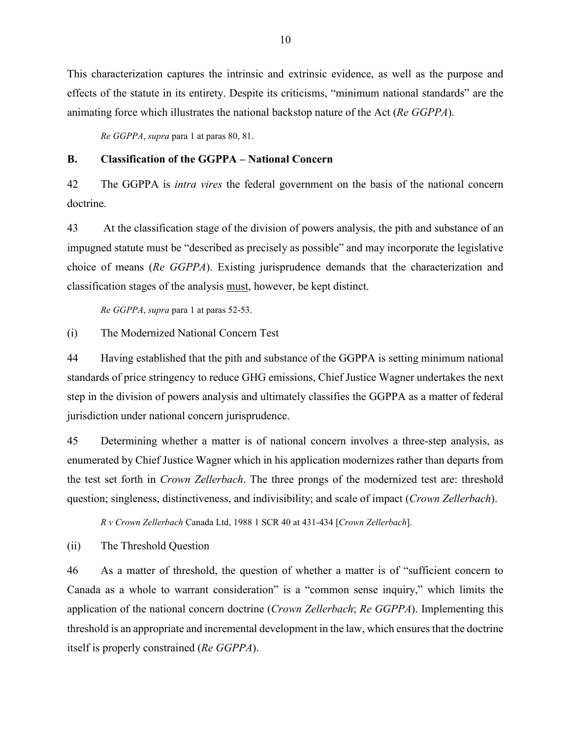This characterization captures the intrinsic and extrinsic evidence, as well as the purpose and effects of the statute in its entirety. Despite its criticisms, "minimum national standards" are the animating force which illustrates the national backstop nature of the Act (*Re GGPPA*).

*Re GGPPA*, *supra* para [1](#page-3-0) at paras 80, 81.

### **B. Classification of the GGPPA – National Concern**

42 The GGPPA is *intra vires* the federal government on the basis of the national concern doctrine.

43 At the classification stage of the division of powers analysis, the pith and substance of an impugned statute must be "described as precisely as possible" and may incorporate the legislative choice of means (*Re GGPPA*). Existing jurisprudence demands that the characterization and classification stages of the analysis must, however, be kept distinct.

<span id="page-12-0"></span>*Re GGPPA*, *supra* para [1](#page-3-0) at paras 52-53.

(i) The Modernized National Concern Test

44 Having established that the pith and substance of the GGPPA is setting minimum national standards of price stringency to reduce GHG emissions, Chief Justice Wagner undertakes the next step in the division of powers analysis and ultimately classifies the GGPPA as a matter of federal jurisdiction under national concern jurisprudence.

45 Determining whether a matter is of national concern involves a three-step analysis, as enumerated by Chief Justice Wagner which in his application modernizes rather than departs from the test set forth in *Crown Zellerbach*. The three prongs of the modernized test are: threshold question; singleness, distinctiveness, and indivisibility; and scale of impact (*Crown Zellerbach*).

*R v Crown Zellerbach* Canada Ltd, 1988 1 SCR 40 at 431-434 [*Crown Zellerbach*].

(ii) The Threshold Question

46 As a matter of threshold, the question of whether a matter is of "sufficient concern to Canada as a whole to warrant consideration" is a "common sense inquiry," which limits the application of the national concern doctrine (*Crown Zellerbach*; *Re GGPPA*). Implementing this threshold is an appropriate and incremental development in the law, which ensures that the doctrine itself is properly constrained (*Re GGPPA*).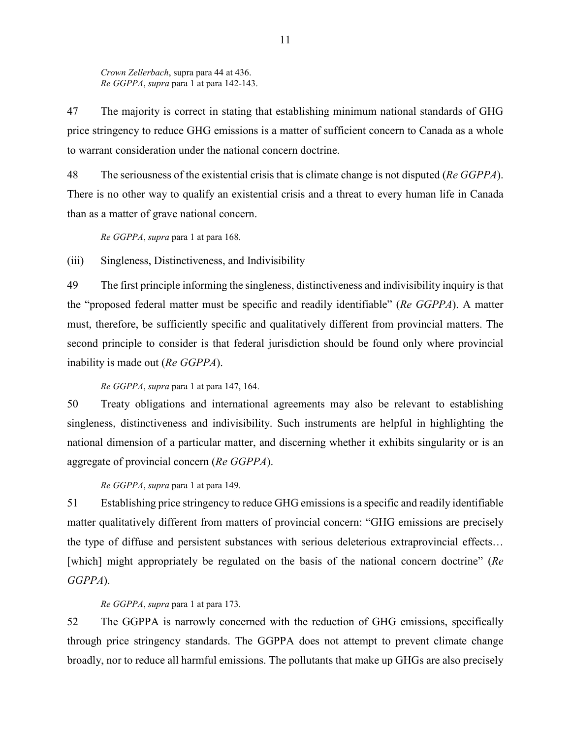*Crown Zellerbach*, supra para [44](#page-12-0) at 436. *Re GGPPA*, *supra* para [1](#page-3-0) at para 142-143.

47 The majority is correct in stating that establishing minimum national standards of GHG price stringency to reduce GHG emissions is a matter of sufficient concern to Canada as a whole to warrant consideration under the national concern doctrine.

48 The seriousness of the existential crisis that is climate change is not disputed (*Re GGPPA*). There is no other way to qualify an existential crisis and a threat to every human life in Canada than as a matter of grave national concern.

*Re GGPPA*, *supra* para [1](#page-3-0) at para 168.

(iii) Singleness, Distinctiveness, and Indivisibility

49 The first principle informing the singleness, distinctiveness and indivisibility inquiry is that the "proposed federal matter must be specific and readily identifiable" (*Re GGPPA*). A matter must, therefore, be sufficiently specific and qualitatively different from provincial matters. The second principle to consider is that federal jurisdiction should be found only where provincial inability is made out (*Re GGPPA*).

*Re GGPPA*, *supra* para [1](#page-3-0) at para 147, 164.

50 Treaty obligations and international agreements may also be relevant to establishing singleness, distinctiveness and indivisibility. Such instruments are helpful in highlighting the national dimension of a particular matter, and discerning whether it exhibits singularity or is an aggregate of provincial concern (*Re GGPPA*).

*Re GGPPA*, *supra* para [1](#page-3-0) at para 149.

51 Establishing price stringency to reduce GHG emissions is a specific and readily identifiable matter qualitatively different from matters of provincial concern: "GHG emissions are precisely the type of diffuse and persistent substances with serious deleterious extraprovincial effects… [which] might appropriately be regulated on the basis of the national concern doctrine" (*Re GGPPA*).

#### *Re GGPPA*, *supra* para [1](#page-3-0) at para 173.

52 The GGPPA is narrowly concerned with the reduction of GHG emissions, specifically through price stringency standards. The GGPPA does not attempt to prevent climate change broadly, nor to reduce all harmful emissions. The pollutants that make up GHGs are also precisely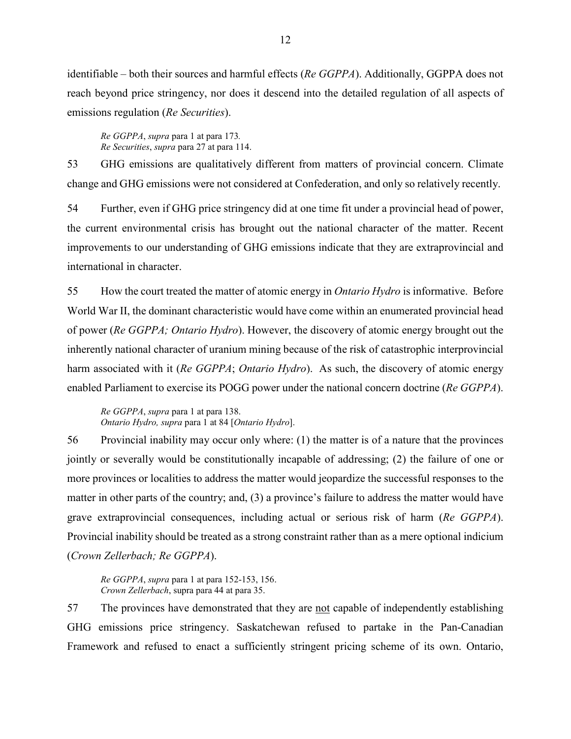identifiable – both their sources and harmful effects (*Re GGPPA*). Additionally, GGPPA does not reach beyond price stringency, nor does it descend into the detailed regulation of all aspects of emissions regulation (*Re Securities*).

*Re GGPPA*, *supra* para [1](#page-3-0) at para 173*. Re Securities*, *supra* par[a 27](#page-8-1) at para 114.

53 GHG emissions are qualitatively different from matters of provincial concern. Climate change and GHG emissions were not considered at Confederation, and only so relatively recently.

54 Further, even if GHG price stringency did at one time fit under a provincial head of power, the current environmental crisis has brought out the national character of the matter. Recent improvements to our understanding of GHG emissions indicate that they are extraprovincial and international in character.

55 How the court treated the matter of atomic energy in *Ontario Hydro* is informative. Before World War II, the dominant characteristic would have come within an enumerated provincial head of power (*Re GGPPA; Ontario Hydro*). However, the discovery of atomic energy brought out the inherently national character of uranium mining because of the risk of catastrophic interprovincial harm associated with it (*Re GGPPA*; *Ontario Hydro*). As such, the discovery of atomic energy enabled Parliament to exercise its POGG power under the national concern doctrine (*Re GGPPA*).

*Re GGPPA*, *supra* para [1](#page-3-0) at para 138. *Ontario Hydro, supra* para 1 at 84 [*Ontario Hydro*].

56 Provincial inability may occur only where: (1) the matter is of a nature that the provinces jointly or severally would be constitutionally incapable of addressing; (2) the failure of one or more provinces or localities to address the matter would jeopardize the successful responses to the matter in other parts of the country; and, (3) a province's failure to address the matter would have grave extraprovincial consequences, including actual or serious risk of harm (*Re GGPPA*). Provincial inability should be treated as a strong constraint rather than as a mere optional indicium (*Crown Zellerbach; Re GGPPA*).

*Re GGPPA*, *supra* para [1](#page-3-0) at para 152-153, 156. *Crown Zellerbach*, supra para [44](#page-12-0) at para 35.

57 The provinces have demonstrated that they are not capable of independently establishing GHG emissions price stringency. Saskatchewan refused to partake in the Pan-Canadian Framework and refused to enact a sufficiently stringent pricing scheme of its own. Ontario,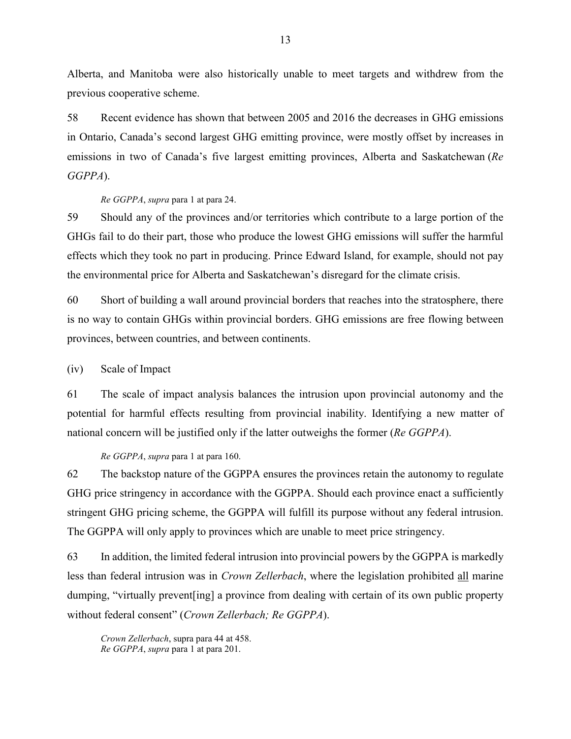Alberta, and Manitoba were also historically unable to meet targets and withdrew from the previous cooperative scheme.

58 Recent evidence has shown that between 2005 and 2016 the decreases in GHG emissions in Ontario, Canada's second largest GHG emitting province, were mostly offset by increases in emissions in two of Canada's five largest emitting provinces, Alberta and Saskatchewan (*Re GGPPA*).

*Re GGPPA*, *supra* para [1](#page-3-0) at para 24.

59 Should any of the provinces and/or territories which contribute to a large portion of the GHGs fail to do their part, those who produce the lowest GHG emissions will suffer the harmful effects which they took no part in producing. Prince Edward Island, for example, should not pay the environmental price for Alberta and Saskatchewan's disregard for the climate crisis.

60 Short of building a wall around provincial borders that reaches into the stratosphere, there is no way to contain GHGs within provincial borders. GHG emissions are free flowing between provinces, between countries, and between continents.

(iv) Scale of Impact

61 The scale of impact analysis balances the intrusion upon provincial autonomy and the potential for harmful effects resulting from provincial inability. Identifying a new matter of national concern will be justified only if the latter outweighs the former (*Re GGPPA*).

*Re GGPPA*, *supra* para [1](#page-3-0) at para 160.

62 The backstop nature of the GGPPA ensures the provinces retain the autonomy to regulate GHG price stringency in accordance with the GGPPA. Should each province enact a sufficiently stringent GHG pricing scheme, the GGPPA will fulfill its purpose without any federal intrusion. The GGPPA will only apply to provinces which are unable to meet price stringency.

63 In addition, the limited federal intrusion into provincial powers by the GGPPA is markedly less than federal intrusion was in *Crown Zellerbach*, where the legislation prohibited all marine dumping, "virtually prevent[ing] a province from dealing with certain of its own public property without federal consent" (*Crown Zellerbach; Re GGPPA*).

*Crown Zellerbach*, supra para [44](#page-12-0) at 458. *Re GGPPA*, *supra* para [1](#page-3-0) at para 201.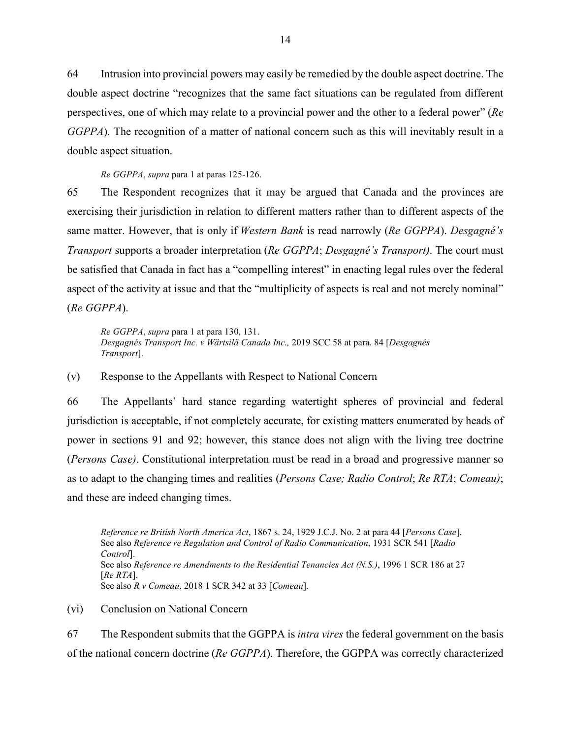64 Intrusion into provincial powers may easily be remedied by the double aspect doctrine. The double aspect doctrine "recognizes that the same fact situations can be regulated from different perspectives, one of which may relate to a provincial power and the other to a federal power" (*Re GGPPA*). The recognition of a matter of national concern such as this will inevitably result in a double aspect situation.

#### *Re GGPPA*, *supra* para [1](#page-3-0) at paras 125-126.

65 The Respondent recognizes that it may be argued that Canada and the provinces are exercising their jurisdiction in relation to different matters rather than to different aspects of the same matter. However, that is only if *Western Bank* is read narrowly (*Re GGPPA*). *Desgagné's Transport* supports a broader interpretation (*Re GGPPA*; *Desgagné's Transport)*. The court must be satisfied that Canada in fact has a "compelling interest" in enacting legal rules over the federal aspect of the activity at issue and that the "multiplicity of aspects is real and not merely nominal" (*Re GGPPA*).

*Re GGPPA*, *supra* para [1](#page-3-0) at para 130, 131. *Desgagnés Transport Inc. v Wärtsilä Canada Inc.,* 2019 SCC 58 at para. 84 [*Desgagnés Transport*].

(v) Response to the Appellants with Respect to National Concern

66 The Appellants' hard stance regarding watertight spheres of provincial and federal jurisdiction is acceptable, if not completely accurate, for existing matters enumerated by heads of power in sections 91 and 92; however, this stance does not align with the living tree doctrine (*Persons Case)*. Constitutional interpretation must be read in a broad and progressive manner so as to adapt to the changing times and realities (*Persons Case; Radio Control*; *Re RTA*; *Comeau)*; and these are indeed changing times.

*Reference re British North America Act*, 1867 s. 24, 1929 J.C.J. No. 2 at para 44 [*Persons Case*]. See also *Reference re Regulation and Control of Radio Communication*, 1931 SCR 541 [*Radio Control*]. See also *Reference re Amendments to the Residential Tenancies Act (N.S.)*, 1996 1 SCR 186 at 27 [*Re RTA*]. See also *R v Comeau*, 2018 1 SCR 342 at 33 [*Comeau*].

(vi) Conclusion on National Concern

67 The Respondent submits that the GGPPA is *intra vires* the federal government on the basis of the national concern doctrine (*Re GGPPA*). Therefore, the GGPPA was correctly characterized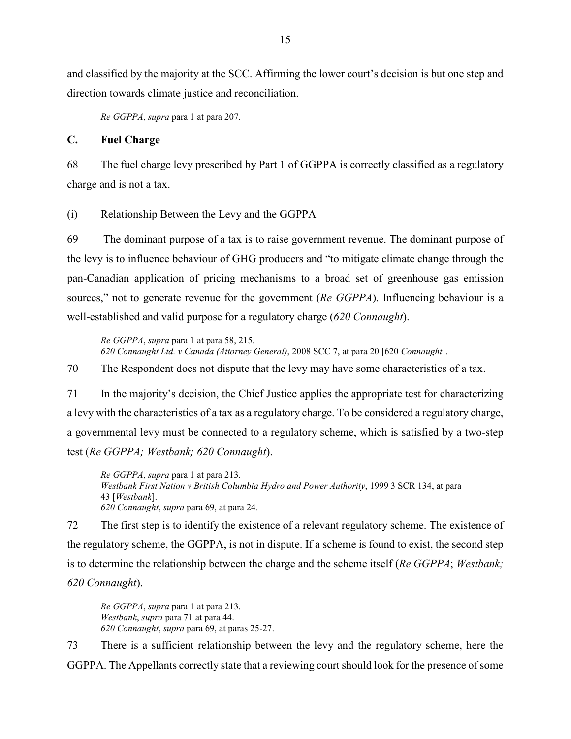and classified by the majority at the SCC. Affirming the lower court's decision is but one step and direction towards climate justice and reconciliation.

*Re GGPPA*, *supra* para [1](#page-3-0) at para 207.

### **C. Fuel Charge**

68 The fuel charge levy prescribed by Part 1 of GGPPA is correctly classified as a regulatory charge and is not a tax.

(i) Relationship Between the Levy and the GGPPA

<span id="page-17-0"></span>69 The dominant purpose of a tax is to raise government revenue. The dominant purpose of the levy is to influence behaviour of GHG producers and "to mitigate climate change through the pan-Canadian application of pricing mechanisms to a broad set of greenhouse gas emission sources," not to generate revenue for the government (*Re GGPPA*). Influencing behaviour is a well-established and valid purpose for a regulatory charge (*620 Connaught*).

*Re GGPPA*, *supra* para [1](#page-3-0) at para 58, 215. *620 Connaught Ltd. v Canada (Attorney General)*, 2008 SCC 7, at para 20 [620 *Connaught*].

70 The Respondent does not dispute that the levy may have some characteristics of a tax.

<span id="page-17-1"></span>71 In the majority's decision, the Chief Justice applies the appropriate test for characterizing a levy with the characteristics of a tax as a regulatory charge. To be considered a regulatory charge, a governmental levy must be connected to a regulatory scheme, which is satisfied by a two-step test (*Re GGPPA; Westbank; 620 Connaught*).

*Re GGPPA*, *supra* para [1](#page-3-0) at para 213. *Westbank First Nation v British Columbia Hydro and Power Authority*, 1999 3 SCR 134, at para 43 [*Westbank*]. *620 Connaught*, *supra* para [69,](#page-17-0) at para 24.

72 The first step is to identify the existence of a relevant regulatory scheme. The existence of the regulatory scheme, the GGPPA, is not in dispute. If a scheme is found to exist, the second step is to determine the relationship between the charge and the scheme itself (*Re GGPPA*; *Westbank; 620 Connaught*).

*Re GGPPA*, *supra* para [1](#page-3-0) at para 213. *Westbank*, *supra* para [71](#page-17-1) at para 44. *620 Connaught*, *supra* para [69,](#page-17-0) at paras 25-27.

73 There is a sufficient relationship between the levy and the regulatory scheme, here the GGPPA. The Appellants correctly state that a reviewing court should look for the presence of some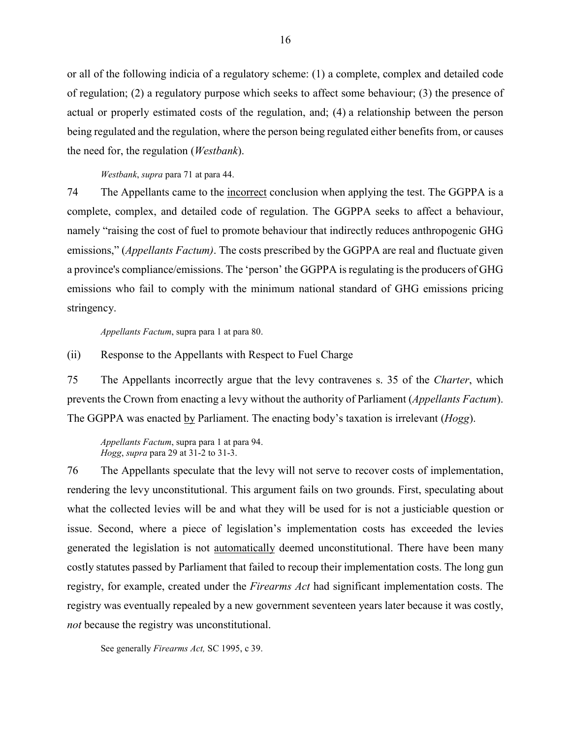or all of the following indicia of a regulatory scheme: (1) a complete, complex and detailed code of regulation; (2) a regulatory purpose which seeks to affect some behaviour; (3) the presence of actual or properly estimated costs of the regulation, and; (4) a relationship between the person being regulated and the regulation, where the person being regulated either benefits from, or causes the need for, the regulation (*Westbank*).

#### *Westbank*, *supra* para [71](#page-17-1) at para 44.

74 The Appellants came to the incorrect conclusion when applying the test. The GGPPA is a complete, complex, and detailed code of regulation. The GGPPA seeks to affect a behaviour, namely "raising the cost of fuel to promote behaviour that indirectly reduces anthropogenic GHG emissions," (*Appellants Factum)*. The costs prescribed by the GGPPA are real and fluctuate given a province's compliance/emissions. The 'person' the GGPPA is regulating is the producers of GHG emissions who fail to comply with the minimum national standard of GHG emissions pricing stringency.

*Appellants Factum*, supra par[a 1](#page-3-0) at para 80.

(ii) Response to the Appellants with Respect to Fuel Charge

75 The Appellants incorrectly argue that the levy contravenes s. 35 of the *Charter*, which prevents the Crown from enacting a levy without the authority of Parliament (*Appellants Factum*). The GGPPA was enacted by Parliament. The enacting body's taxation is irrelevant (*Hogg*).

*Appellants Factum*, supra par[a 1](#page-3-0) at para 94. *Hogg*, *supra* para [29](#page-9-0) at 31-2 to 31-3.

76 The Appellants speculate that the levy will not serve to recover costs of implementation, rendering the levy unconstitutional. This argument fails on two grounds. First, speculating about what the collected levies will be and what they will be used for is not a justiciable question or issue. Second, where a piece of legislation's implementation costs has exceeded the levies generated the legislation is not automatically deemed unconstitutional. There have been many costly statutes passed by Parliament that failed to recoup their implementation costs. The long gun registry, for example, created under the *Firearms Act* had significant implementation costs. The registry was eventually repealed by a new government seventeen years later because it was costly, *not* because the registry was unconstitutional.

See generally *Firearms Act,* SC 1995, c 39.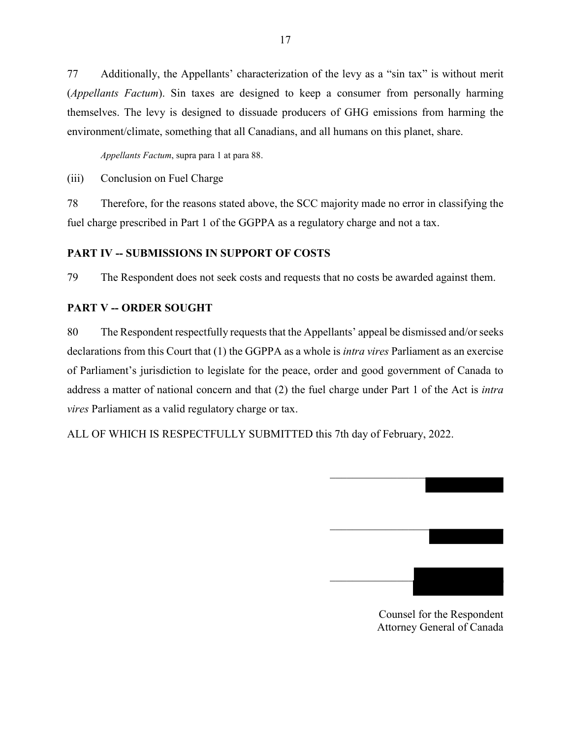77 Additionally, the Appellants' characterization of the levy as a "sin tax" is without merit (*Appellants Factum*). Sin taxes are designed to keep a consumer from personally harming themselves. The levy is designed to dissuade producers of GHG emissions from harming the environment/climate, something that all Canadians, and all humans on this planet, share.

*Appellants Factum*, supra par[a 1](#page-3-0) at para 88.

(iii) Conclusion on Fuel Charge

78 Therefore, for the reasons stated above, the SCC majority made no error in classifying the fuel charge prescribed in Part 1 of the GGPPA as a regulatory charge and not a tax.

### **PART IV -- SUBMISSIONS IN SUPPORT OF COSTS**

79 The Respondent does not seek costs and requests that no costs be awarded against them.

## **PART V -- ORDER SOUGHT**

80 The Respondent respectfully requests that the Appellants' appeal be dismissed and/or seeks declarations from this Court that (1) the GGPPA as a whole is *intra vires* Parliament as an exercise of Parliament's jurisdiction to legislate for the peace, order and good government of Canada to address a matter of national concern and that (2) the fuel charge under Part 1 of the Act is *intra vires* Parliament as a valid regulatory charge or tax.

ALL OF WHICH IS RESPECTFULLY SUBMITTED this 7th day of February, 2022.



Counsel for the Respondent Attorney General of Canada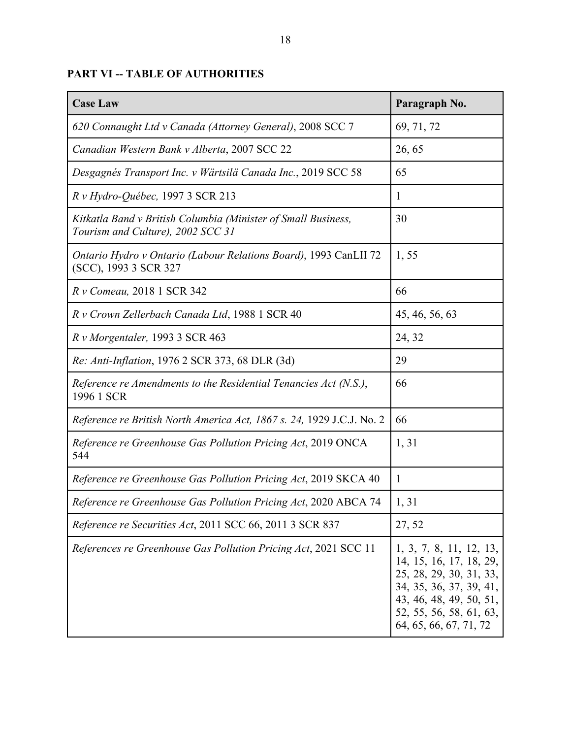# **PART VI -- TABLE OF AUTHORITIES**

| <b>Case Law</b>                                                                                    | Paragraph No.                                                                                                                                                                            |
|----------------------------------------------------------------------------------------------------|------------------------------------------------------------------------------------------------------------------------------------------------------------------------------------------|
| 620 Connaught Ltd v Canada (Attorney General), 2008 SCC 7                                          | 69, 71, 72                                                                                                                                                                               |
| Canadian Western Bank v Alberta, 2007 SCC 22                                                       | 26, 65                                                                                                                                                                                   |
| Desgagnés Transport Inc. v Wärtsilä Canada Inc., 2019 SCC 58                                       | 65                                                                                                                                                                                       |
| R v Hydro-Québec, 1997 3 SCR 213                                                                   | $\mathbf{1}$                                                                                                                                                                             |
| Kitkatla Band v British Columbia (Minister of Small Business,<br>Tourism and Culture), 2002 SCC 31 | 30                                                                                                                                                                                       |
| Ontario Hydro v Ontario (Labour Relations Board), 1993 CanLII 72<br>(SCC), 1993 3 SCR 327          | 1,55                                                                                                                                                                                     |
| R v Comeau, 2018 1 SCR 342                                                                         | 66                                                                                                                                                                                       |
| R v Crown Zellerbach Canada Ltd, 1988 1 SCR 40                                                     | 45, 46, 56, 63                                                                                                                                                                           |
| R v Morgentaler, 1993 3 SCR 463                                                                    | 24, 32                                                                                                                                                                                   |
| Re: Anti-Inflation, 1976 2 SCR 373, 68 DLR (3d)                                                    | 29                                                                                                                                                                                       |
| Reference re Amendments to the Residential Tenancies Act $(N.S.),$<br>1996 1 SCR                   | 66                                                                                                                                                                                       |
| Reference re British North America Act, 1867 s. 24, 1929 J.C.J. No. 2                              | 66                                                                                                                                                                                       |
| Reference re Greenhouse Gas Pollution Pricing Act, 2019 ONCA<br>544                                | 1, 31                                                                                                                                                                                    |
| Reference re Greenhouse Gas Pollution Pricing Act, 2019 SKCA 40                                    | $\mathbf{1}$                                                                                                                                                                             |
| Reference re Greenhouse Gas Pollution Pricing Act, 2020 ABCA 74                                    | 1, 31                                                                                                                                                                                    |
| Reference re Securities Act, 2011 SCC 66, 2011 3 SCR 837                                           | 27, 52                                                                                                                                                                                   |
| References re Greenhouse Gas Pollution Pricing Act, 2021 SCC 11                                    | 1, 3, 7, 8, 11, 12, 13,<br>14, 15, 16, 17, 18, 29,<br>25, 28, 29, 30, 31, 33,<br>34, 35, 36, 37, 39, 41,<br>43, 46, 48, 49, 50, 51,<br>52, 55, 56, 58, 61, 63,<br>64, 65, 66, 67, 71, 72 |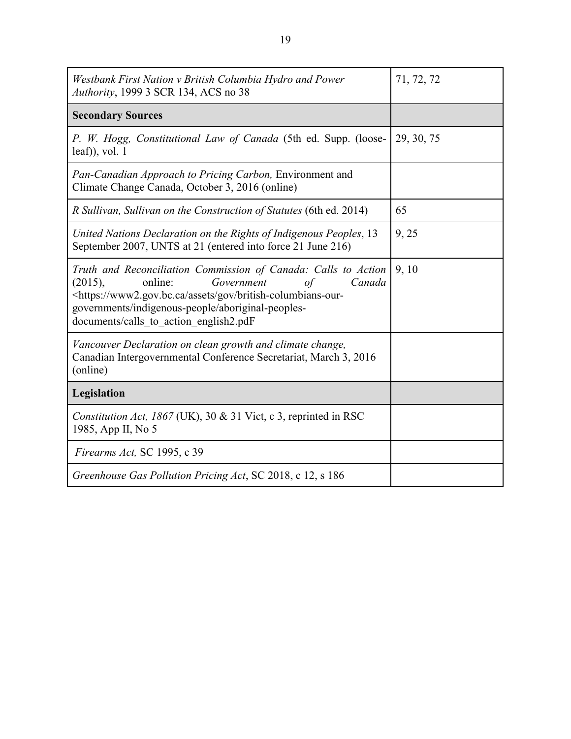| Westbank First Nation v British Columbia Hydro and Power<br>Authority, 1999 3 SCR 134, ACS no 38                                                                                                                                                                                                     | 71, 72, 72 |
|------------------------------------------------------------------------------------------------------------------------------------------------------------------------------------------------------------------------------------------------------------------------------------------------------|------------|
| <b>Secondary Sources</b>                                                                                                                                                                                                                                                                             |            |
| P. W. Hogg, Constitutional Law of Canada (5th ed. Supp. (loose-<br>leaf)), vol. 1                                                                                                                                                                                                                    | 29, 30, 75 |
| Pan-Canadian Approach to Pricing Carbon, Environment and<br>Climate Change Canada, October 3, 2016 (online)                                                                                                                                                                                          |            |
| R Sullivan, Sullivan on the Construction of Statutes (6th ed. 2014)                                                                                                                                                                                                                                  | 65         |
| United Nations Declaration on the Rights of Indigenous Peoples, 13<br>September 2007, UNTS at 21 (entered into force 21 June 216)                                                                                                                                                                    | 9,25       |
| Truth and Reconciliation Commission of Canada: Calls to Action<br>online:<br>Government<br>(2015),<br>Canada<br>01<br><https: assets="" british-columbians-our-<br="" gov="" www2.gov.bc.ca="">governments/indigenous-people/aboriginal-peoples-<br/>documents/calls to action english2.pdF</https:> | 9, 10      |
| Vancouver Declaration on clean growth and climate change,<br>Canadian Intergovernmental Conference Secretariat, March 3, 2016<br>(online)                                                                                                                                                            |            |
| Legislation                                                                                                                                                                                                                                                                                          |            |
| <i>Constitution Act, 1867</i> (UK), 30 & 31 Vict, c 3, reprinted in RSC<br>1985, App II, No 5                                                                                                                                                                                                        |            |
| Firearms Act, SC 1995, c 39                                                                                                                                                                                                                                                                          |            |
| Greenhouse Gas Pollution Pricing Act, SC 2018, c 12, s 186                                                                                                                                                                                                                                           |            |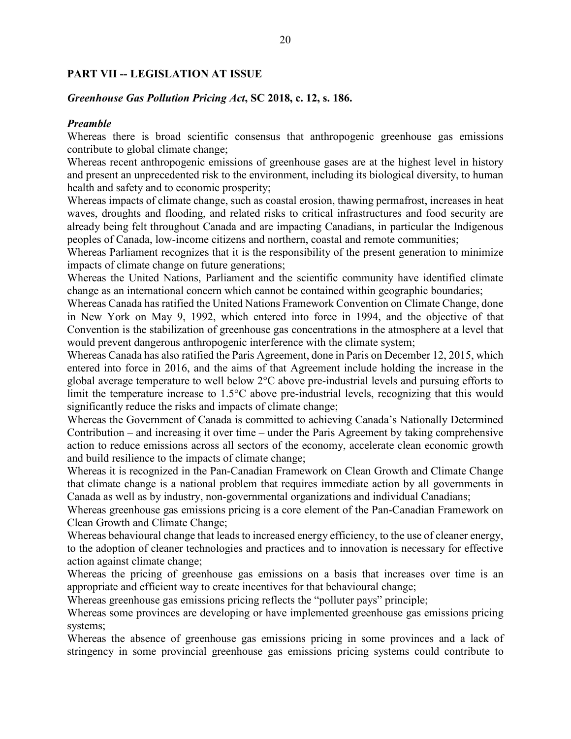### **PART VII -- LEGISLATION AT ISSUE**

### *Greenhouse Gas Pollution Pricing Act***, SC 2018, c. 12, s. 186.**

#### *Preamble*

Whereas there is broad scientific consensus that anthropogenic greenhouse gas emissions contribute to global climate change;

Whereas recent anthropogenic emissions of greenhouse gases are at the highest level in history and present an unprecedented risk to the environment, including its biological diversity, to human health and safety and to economic prosperity;

Whereas impacts of climate change, such as coastal erosion, thawing permafrost, increases in heat waves, droughts and flooding, and related risks to critical infrastructures and food security are already being felt throughout Canada and are impacting Canadians, in particular the Indigenous peoples of Canada, low-income citizens and northern, coastal and remote communities;

Whereas Parliament recognizes that it is the responsibility of the present generation to minimize impacts of climate change on future generations;

Whereas the United Nations, Parliament and the scientific community have identified climate change as an international concern which cannot be contained within geographic boundaries;

Whereas Canada has ratified the United Nations Framework Convention on Climate Change, done in New York on May 9, 1992, which entered into force in 1994, and the objective of that Convention is the stabilization of greenhouse gas concentrations in the atmosphere at a level that would prevent dangerous anthropogenic interference with the climate system;

Whereas Canada has also ratified the Paris Agreement, done in Paris on December 12, 2015, which entered into force in 2016, and the aims of that Agreement include holding the increase in the global average temperature to well below 2°C above pre-industrial levels and pursuing efforts to limit the temperature increase to 1.5°C above pre-industrial levels, recognizing that this would significantly reduce the risks and impacts of climate change;

Whereas the Government of Canada is committed to achieving Canada's Nationally Determined Contribution – and increasing it over time – under the Paris Agreement by taking comprehensive action to reduce emissions across all sectors of the economy, accelerate clean economic growth and build resilience to the impacts of climate change;

Whereas it is recognized in the Pan-Canadian Framework on Clean Growth and Climate Change that climate change is a national problem that requires immediate action by all governments in Canada as well as by industry, non-governmental organizations and individual Canadians;

Whereas greenhouse gas emissions pricing is a core element of the Pan-Canadian Framework on Clean Growth and Climate Change;

Whereas behavioural change that leads to increased energy efficiency, to the use of cleaner energy, to the adoption of cleaner technologies and practices and to innovation is necessary for effective action against climate change;

Whereas the pricing of greenhouse gas emissions on a basis that increases over time is an appropriate and efficient way to create incentives for that behavioural change;

Whereas greenhouse gas emissions pricing reflects the "polluter pays" principle;

Whereas some provinces are developing or have implemented greenhouse gas emissions pricing systems;

Whereas the absence of greenhouse gas emissions pricing in some provinces and a lack of stringency in some provincial greenhouse gas emissions pricing systems could contribute to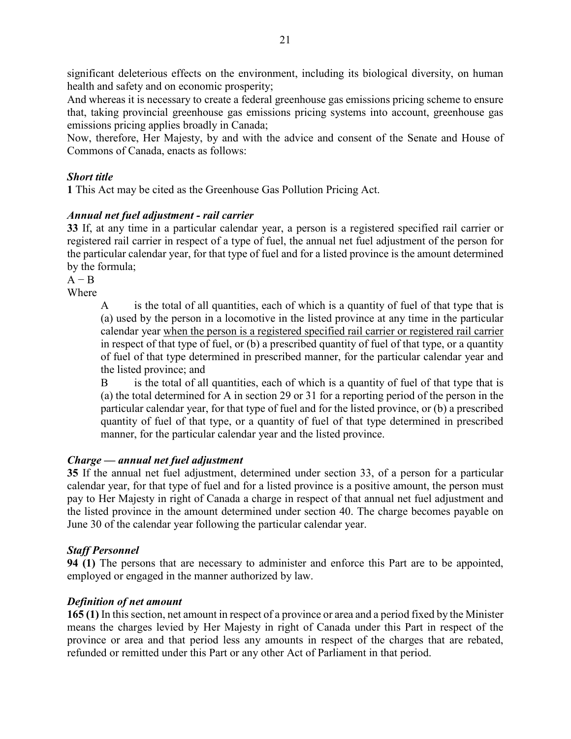significant deleterious effects on the environment, including its biological diversity, on human health and safety and on economic prosperity;

And whereas it is necessary to create a federal greenhouse gas emissions pricing scheme to ensure that, taking provincial greenhouse gas emissions pricing systems into account, greenhouse gas emissions pricing applies broadly in Canada;

Now, therefore, Her Majesty, by and with the advice and consent of the Senate and House of Commons of Canada, enacts as follows:

## *Short title*

**1** This Act may be cited as the Greenhouse Gas Pollution Pricing Act.

## *Annual net fuel adjustment - rail carrier*

**33** If, at any time in a particular calendar year, a person is a registered specified rail carrier or registered rail carrier in respect of a type of fuel, the annual net fuel adjustment of the person for the particular calendar year, for that type of fuel and for a listed province is the amount determined by the formula;

 $A - B$ 

Where

A is the total of all quantities, each of which is a quantity of fuel of that type that is (a) used by the person in a locomotive in the listed province at any time in the particular calendar year when the person is a registered specified rail carrier or registered rail carrier in respect of that type of fuel, or (b) a prescribed quantity of fuel of that type, or a quantity of fuel of that type determined in prescribed manner, for the particular calendar year and the listed province; and

B is the total of all quantities, each of which is a quantity of fuel of that type that is (a) the total determined for A in section 29 or 31 for a reporting period of the person in the particular calendar year, for that type of fuel and for the listed province, or (b) a prescribed quantity of fuel of that type, or a quantity of fuel of that type determined in prescribed manner, for the particular calendar year and the listed province.

## *Charge — annual net fuel adjustment*

**35** If the annual net fuel adjustment, determined under section 33, of a person for a particular calendar year, for that type of fuel and for a listed province is a positive amount, the person must pay to Her Majesty in right of Canada a charge in respect of that annual net fuel adjustment and the listed province in the amount determined under section 40. The charge becomes payable on June 30 of the calendar year following the particular calendar year.

# *Staff Personnel*

**94 (1)** The persons that are necessary to administer and enforce this Part are to be appointed, employed or engaged in the manner authorized by law.

## *Definition of net amount*

**165 (1)** In this section, net amount in respect of a province or area and a period fixed by the Minister means the charges levied by Her Majesty in right of Canada under this Part in respect of the province or area and that period less any amounts in respect of the charges that are rebated, refunded or remitted under this Part or any other Act of Parliament in that period.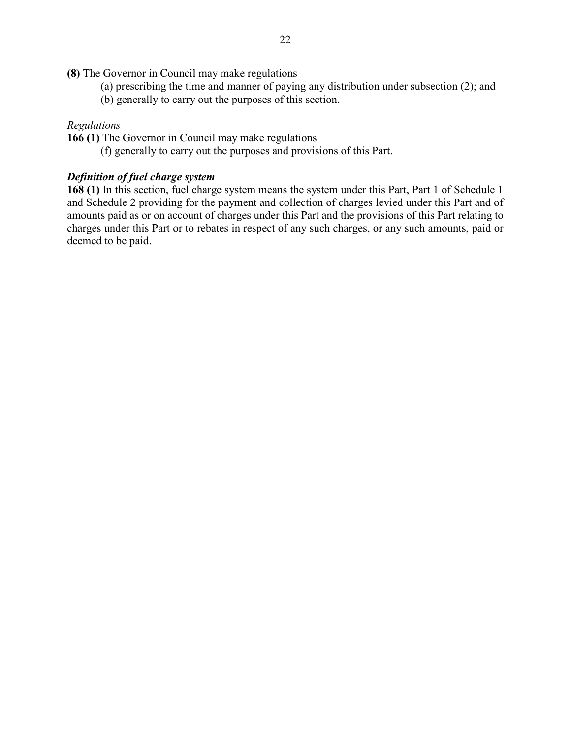**(8)** The Governor in Council may make regulations

- (a) prescribing the time and manner of paying any distribution under subsection (2); and
- (b) generally to carry out the purposes of this section.

### *Regulations*

**166 (1)** The Governor in Council may make regulations

(f) generally to carry out the purposes and provisions of this Part.

### *Definition of fuel charge system*

**168 (1)** In this section, fuel charge system means the system under this Part, Part 1 of Schedule 1 and Schedule 2 providing for the payment and collection of charges levied under this Part and of amounts paid as or on account of charges under this Part and the provisions of this Part relating to charges under this Part or to rebates in respect of any such charges, or any such amounts, paid or deemed to be paid.